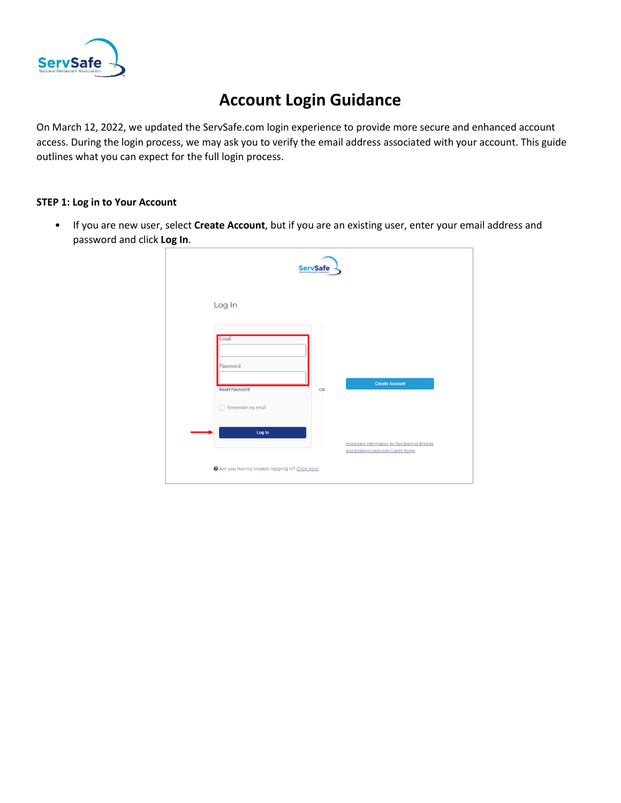

## **Account Login Guidance**

On March 12, 2022, we updated the ServSafe.com login experience to provide more secure and enhanced account access. During the login process, we may ask you to verify the email address associated with your account. This guide outlines what you can expect for the full login process.

## **STEP 1: Log in to Your Account**

• If you are new user, select **Create Account**, but if you are an existing user, enter your email address and password and click **Log In**.

|                                          | <b>ServSafe</b> |                                                                                              |
|------------------------------------------|-----------------|----------------------------------------------------------------------------------------------|
| Log In                                   |                 |                                                                                              |
| Email<br>Password                        |                 |                                                                                              |
| Reset Password<br>Remember my email<br>□ | OR              | <b>Create Account</b>                                                                        |
| Log In                                   |                 | <b>Important information for Tax-Exempt Entities</b><br>and Existing Users with Credit Terms |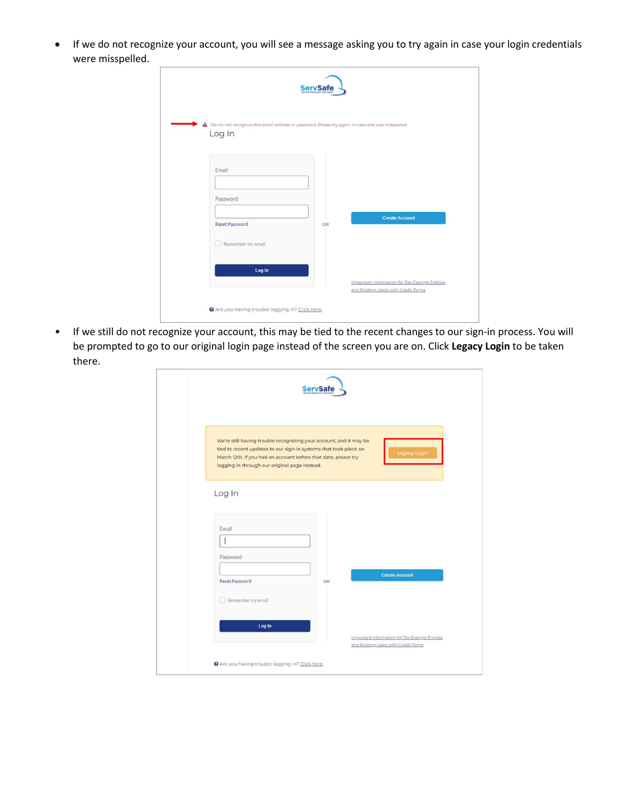• If we do not recognize your account, you will see a message asking you to try again in case your login credentials were misspelled.

| Log In            |    | △ We do not recognize this email address or password. Please try again, in case one was misspelled. |
|-------------------|----|-----------------------------------------------------------------------------------------------------|
|                   |    |                                                                                                     |
| Email             |    |                                                                                                     |
|                   |    |                                                                                                     |
| Password          |    |                                                                                                     |
| Reset Password    | OR | <b>Create Account</b>                                                                               |
| Remember my email |    |                                                                                                     |
|                   |    |                                                                                                     |

• If we still do not recognize your account, this may be tied to the recent changes to our sign-in process. You will be prompted to go to our original login page instead of the screen you are on. Click **Legacy Login** to be taken there.

| <b>ServSafe</b>                                                                                                                                                                                                                                                           |
|---------------------------------------------------------------------------------------------------------------------------------------------------------------------------------------------------------------------------------------------------------------------------|
| We're still having trouble recognizing your account, and it may be<br>tied to recent updates to our sign-in systems that took place on<br>Legacy Login<br>March 12th. If you had an account before that date, please try<br>logging in through our original page instead. |
| Log In<br>Email<br>Password<br><b>Create Account</b><br>Reset Password<br>OR<br>Remember my email                                                                                                                                                                         |
| Log In<br>Important information for Tax-Exempt Entities<br>and Existing Users with Credit Terms<br>Are you having trouble logging in? Click here.                                                                                                                         |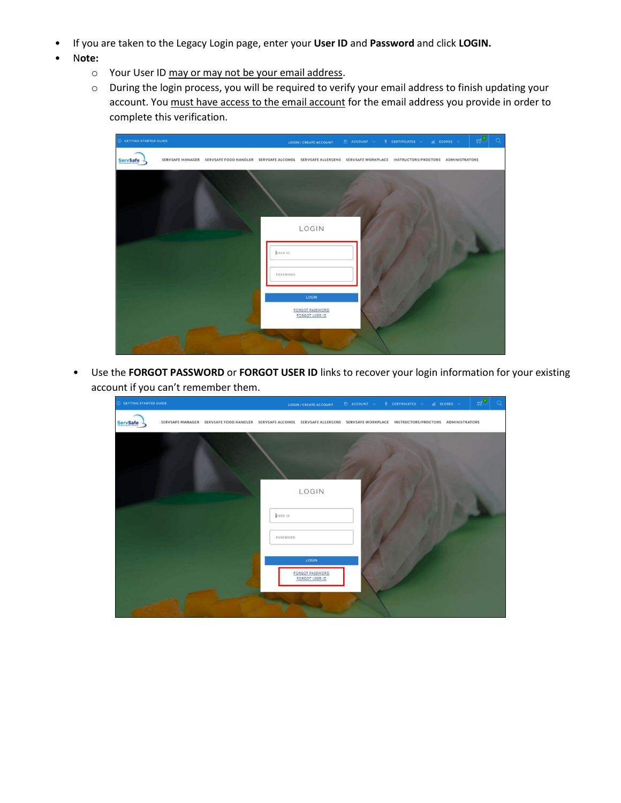- If you are taken to the Legacy Login page, enter your **User ID** and **Password** and click **LOGIN.**
- N**ote:**
	- o Your User ID may or may not be your email address.
	- o During the login process, you will be required to verify your email address to finish updating your account. You must have access to the email account for the email address you provide in order to complete this verification.



• Use the **FORGOT PASSWORD** or **FORGOT USER ID** links to recover your login information for your existing account if you can't remember them.

| <b>O GETTING STARTED GUIDE</b> |                                                                                                                                   |                     |                                                     | LOGIN/CREATE ACCOUNT $\Box$ ACCOUNT $\lor$ $\Diamond$ certificates $\lor$ all scores $\lor$ | $H^{\bullet}$ | $\circ$ |
|--------------------------------|-----------------------------------------------------------------------------------------------------------------------------------|---------------------|-----------------------------------------------------|---------------------------------------------------------------------------------------------|---------------|---------|
| <b>ServSafe</b>                | SERVSAFE MANAGER SERVSAFE FOOD HANDLER SERVSAFE ALCOHOL SERVSAFE ALLERGENS SERVSAFE WORKPLACE INSTRUCTORS/PROCTORS ADMINISTRATORS |                     |                                                     |                                                                                             |               |         |
|                                |                                                                                                                                   | USER ID<br>PASSWORD | LOGIN<br>LOGIN<br>FORGOT PASSWORD<br>FORGOT USER ID |                                                                                             |               |         |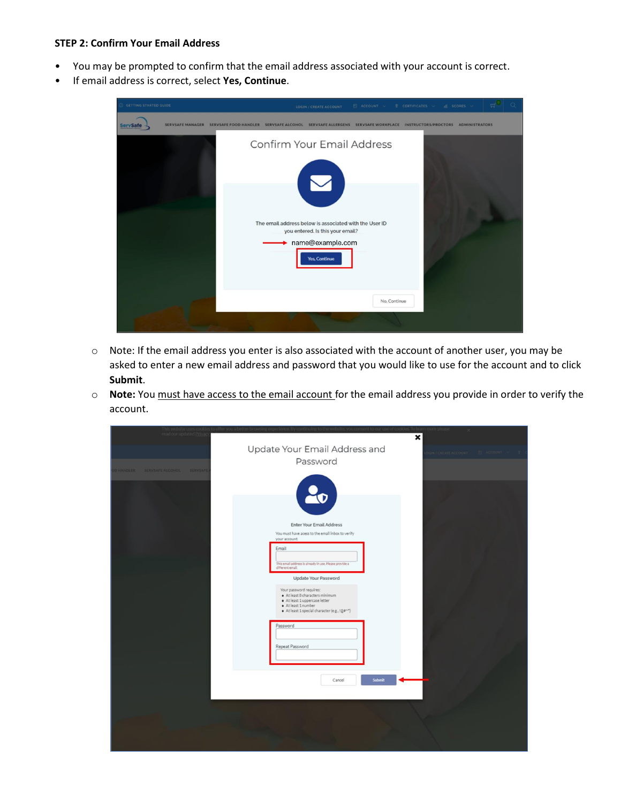## **STEP 2: Confirm Your Email Address**

- You may be prompted to confirm that the email address associated with your account is correct.
- If email address is correct, select **Yes, Continue**.

| O GETTING STARTED GUIDE | $\Box$ ACCOUNT $\lor$<br>CERTIFICATES V<br>$d$ scores $\vee$<br>LOGIN / CREATE ACCOUNT                                                         |  |
|-------------------------|------------------------------------------------------------------------------------------------------------------------------------------------|--|
| <b>ServSafe</b>         | SERVSAFE MANAGER SERVSAFE FOOD HANDLER<br>SERVSAFE ALLERGENS SERVSAFE WORKPLACE INSTRUCTORS/PROCTORS ADMINISTRATORS<br><b>SERVSAFE ALCOHOL</b> |  |
|                         | Confirm Your Email Address                                                                                                                     |  |
|                         | The email address below is associated with the User ID<br>you entered. Is this your email?<br>name@example.com<br><b>Yes, Continue</b>         |  |
|                         | No, Continue                                                                                                                                   |  |
|                         |                                                                                                                                                |  |

- o Note: If the email address you enter is also associated with the account of another user, you may be asked to enter a new email address and password that you would like to use for the account and to click **Submit**.
- o **Note:** You must have access to the email account for the email address you provide in order to verify the account.

| This website uses coo<br>read our updated Priva | tore pi<br>×                                                                                                                                                                                                                                                                             |
|-------------------------------------------------|------------------------------------------------------------------------------------------------------------------------------------------------------------------------------------------------------------------------------------------------------------------------------------------|
|                                                 | Update Your Email Address and<br><b>N/CREATE ACCOUNT</b><br>Password                                                                                                                                                                                                                     |
| O HANDLER SERVSAFE ALCOHOL SERVSAFE             | Enter Your Email Address<br>You must have acess to the email inbox to verify<br>your account.                                                                                                                                                                                            |
|                                                 | Email<br>This email address is already in use. Please provide a<br>different email.<br><b>Update Your Password</b><br>Your password requires:<br>· At least 8 characters minimum<br>· At least 1 uppercase letter<br>· At least 1 number<br>· At least 1 special character (e.g., !@#^") |
|                                                 | Password<br>Repeat Password<br>Submit<br>Cancel                                                                                                                                                                                                                                          |
|                                                 |                                                                                                                                                                                                                                                                                          |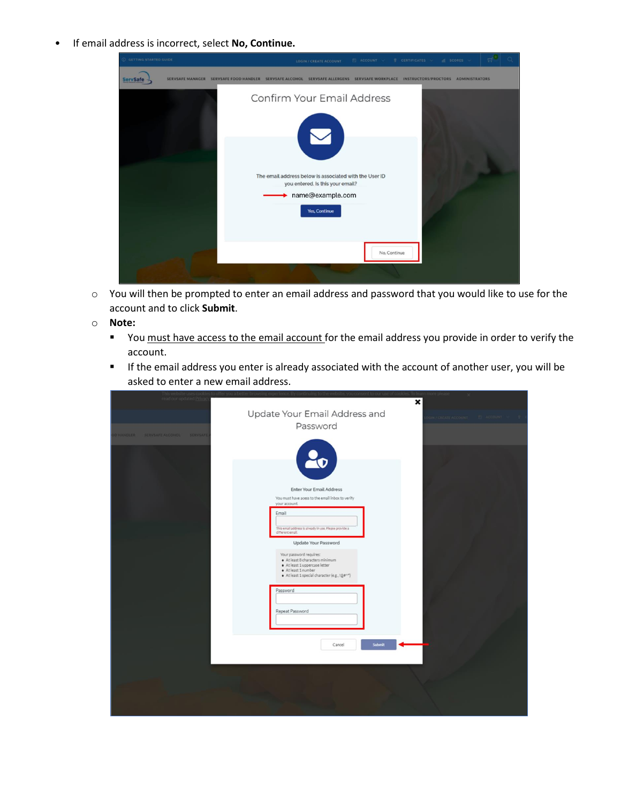• If email address is incorrect, select **No, Continue.**

| C GETTING STARTED GUIDE |                                        |                         | LOGIN / CREATE ACCOUNT                                                                                                                 | $P$ ACCOUNT |              | <b>T</b> CERTIFICATES ~ | $d$ scores $\sim$                                      |  |
|-------------------------|----------------------------------------|-------------------------|----------------------------------------------------------------------------------------------------------------------------------------|-------------|--------------|-------------------------|--------------------------------------------------------|--|
| <b>ServSafe</b>         | SERVSAFE MANAGER SERVSAFE FOOD HANDLER | <b>SERVSAFE ALCOHOL</b> | <b>SERVSAFE ALLERGENS</b>                                                                                                              |             |              |                         | SERVSAFE WORKPLACE INSTRUCTORS/PROCTORS ADMINISTRATORS |  |
|                         |                                        |                         | Confirm Your Email Address                                                                                                             |             |              |                         |                                                        |  |
|                         |                                        |                         | The email address below is associated with the User ID<br>you entered. Is this your email?<br>name@example.com<br><b>Yes, Continue</b> |             |              |                         |                                                        |  |
|                         |                                        |                         |                                                                                                                                        |             | No, Continue |                         |                                                        |  |

- o You will then be prompted to enter an email address and password that you would like to use for the account and to click **Submit**.
- o **Note:**
	- You must have access to the email account for the email address you provide in order to verify the account.
	- **EXP** If the email address you enter is already associated with the account of another user, you will be asked to enter a new email address.

| This website uses co<br>read our updated Priva |                                                                                                                                                                                                                                                                                                                                                                                                                          | × |
|------------------------------------------------|--------------------------------------------------------------------------------------------------------------------------------------------------------------------------------------------------------------------------------------------------------------------------------------------------------------------------------------------------------------------------------------------------------------------------|---|
| O HANDLER SERVSAFE ALCOHOL SERVSAFE            | Update Your Email Address and<br>Password                                                                                                                                                                                                                                                                                                                                                                                |   |
|                                                | <b>Enter Your Email Address</b><br>You must have acess to the email inbox to verify<br>your account.<br>Email<br>This email address is already in use. Please provide a<br>different email.<br>Update Your Password<br>Your password requires:<br>· At least 8 characters minimum<br>· At least 1 uppercase letter<br>· At least 1 number<br>· At least 1 special character (e.g., !@#^*)<br>Password<br>Repeat Password |   |
|                                                | <b>Submit</b><br>Cancel                                                                                                                                                                                                                                                                                                                                                                                                  |   |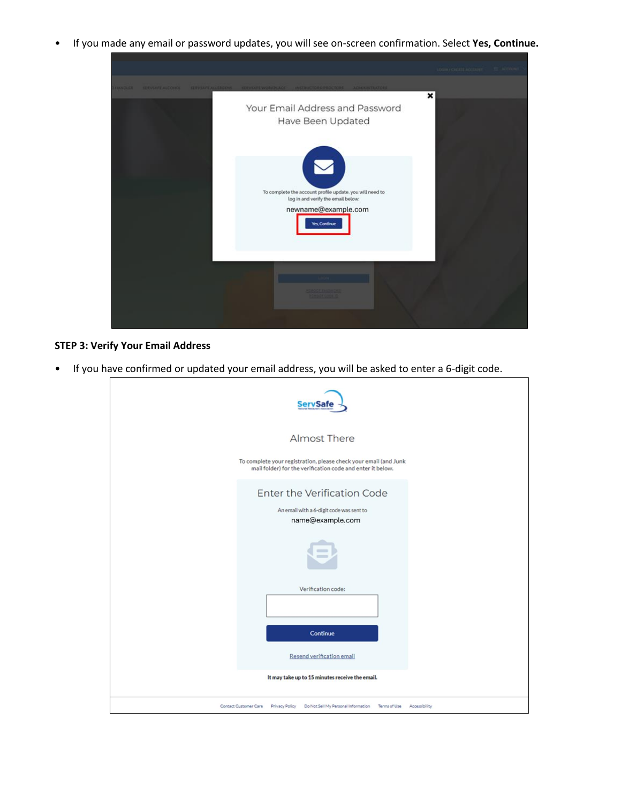• If you made any email or password updates, you will see on-screen confirmation. Select **Yes, Continue.**

| <b>MAGGIE</b> | <b>RUSSEE ALCOHOL</b> | <b>GENVERAL ALLERGENS</b> | INSTRUCTORE/PROCTORS ADMINISTRATORS                                                            | × |  |
|---------------|-----------------------|---------------------------|------------------------------------------------------------------------------------------------|---|--|
|               |                       |                           | Your Email Address and Password<br>Have Been Updated                                           |   |  |
|               |                       |                           | To complete the account profile update, you will need to<br>log in and verify the email below: |   |  |
|               |                       |                           | newname@example.com<br><b>Yes, Continue</b>                                                    |   |  |
|               |                       |                           | <b>FOROGE FASTIVIZED</b>                                                                       |   |  |
|               |                       |                           | <b>MERCURE</b>                                                                                 |   |  |

## **STEP 3: Verify Your Email Address**

• If you have confirmed or updated your email address, you will be asked to enter a 6-digit code.

| <b>ServSafe</b>                                                                                                                |
|--------------------------------------------------------------------------------------------------------------------------------|
| <b>Almost There</b>                                                                                                            |
| To complete your registration, please check your email (and Junk<br>mail folder) for the verification code and enter it below. |
| Enter the Verification Code<br>An email with a 6-digit code was sent to<br>name@example.com                                    |
|                                                                                                                                |
| Verification code:                                                                                                             |
| Continue                                                                                                                       |
| Resend verification email                                                                                                      |
| It may take up to 15 minutes receive the email.                                                                                |
| Contact Customer Care Privacy Policy Do Not Sell My Personal Information<br>Terms of Use<br>Accessibility                      |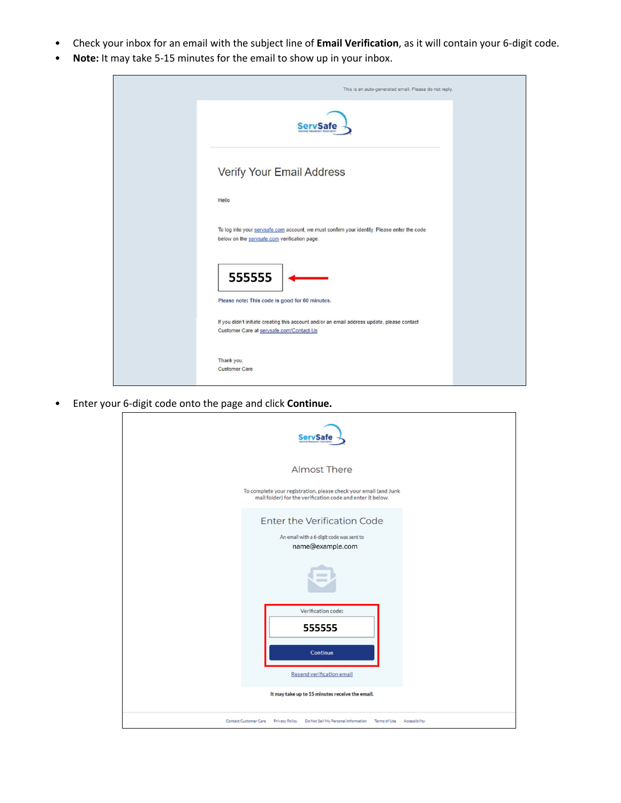- Check your inbox for an email with the subject line of **Email Verification**, as it will contain your 6-digit code.
- **Note:** It may take 5-15 minutes for the email to show up in your inbox.



• Enter your 6-digit code onto the page and click **Continue.**

| <b>Almost There</b><br>To complete your registration, please check your email (and Junk<br>mail folder) for the verification code and enter it below.        |
|--------------------------------------------------------------------------------------------------------------------------------------------------------------|
|                                                                                                                                                              |
|                                                                                                                                                              |
| <b>Enter the Verification Code</b><br>An email with a 6-digit code was sent to<br>name@example.com                                                           |
|                                                                                                                                                              |
| Verification code:<br>555555<br><b>Continue</b>                                                                                                              |
| Resend verification email                                                                                                                                    |
| It may take up to 15 minutes receive the email.<br>Contact Customer Care<br>Privacy Policy Do Not Sell My Personal Information<br>Terms of Use Accessibility |